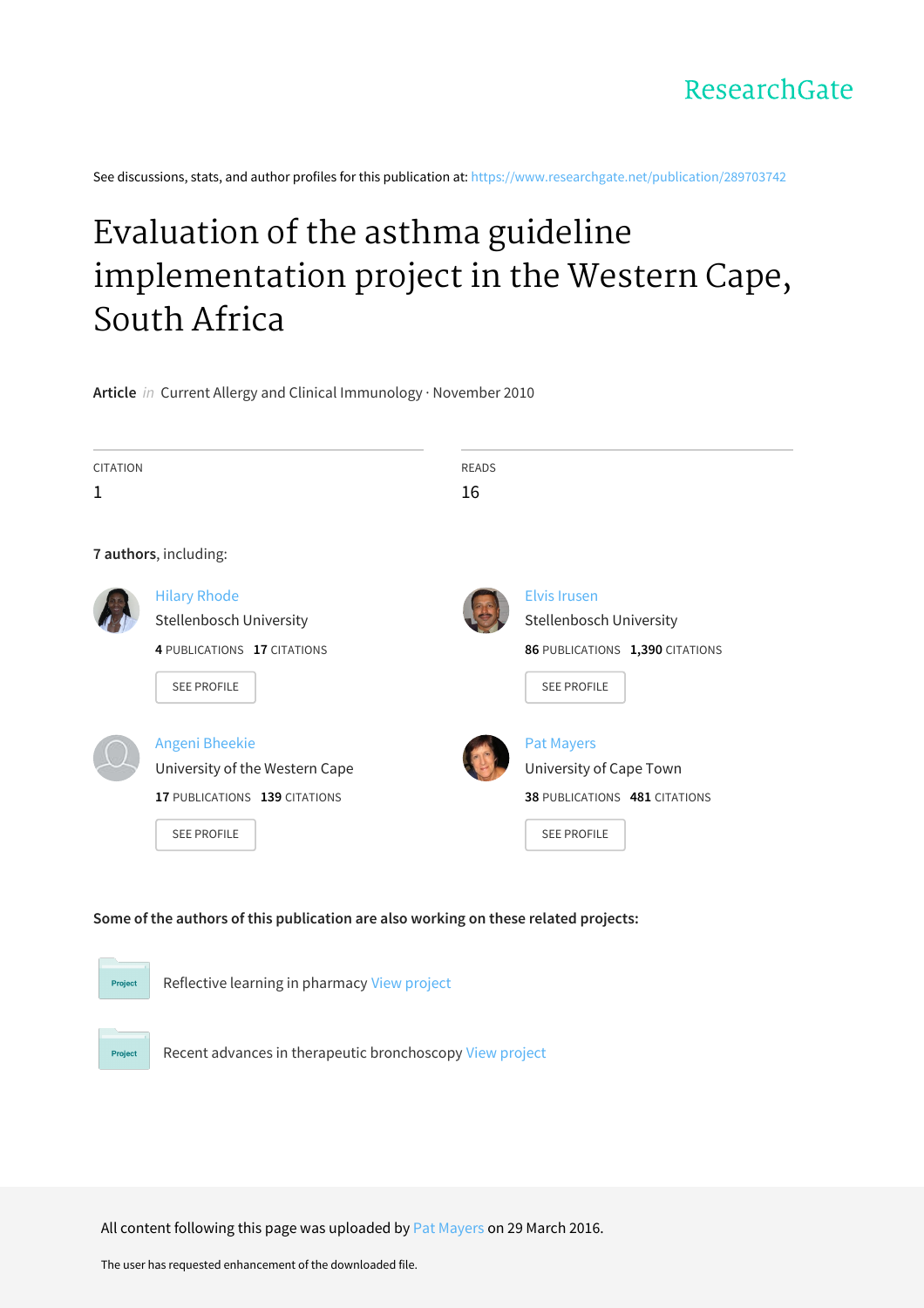See discussions, stats, and author profiles for this publication at: [https://www.researchgate.net/publication/289703742](https://www.researchgate.net/publication/289703742_Evaluation_of_the_asthma_guideline_implementation_project_in_the_Western_Cape_South_Africa?enrichId=rgreq-63d554271fab96042a771bf04179dc38-XXX&enrichSource=Y292ZXJQYWdlOzI4OTcwMzc0MjtBUzozNDQ5MDg3NTkwOTMyNTVAMTQ1OTI0NDA2NDcwNA%3D%3D&el=1_x_2&_esc=publicationCoverPdf)

# Evaluation of the asthma guideline [implementation](https://www.researchgate.net/publication/289703742_Evaluation_of_the_asthma_guideline_implementation_project_in_the_Western_Cape_South_Africa?enrichId=rgreq-63d554271fab96042a771bf04179dc38-XXX&enrichSource=Y292ZXJQYWdlOzI4OTcwMzc0MjtBUzozNDQ5MDg3NTkwOTMyNTVAMTQ1OTI0NDA2NDcwNA%3D%3D&el=1_x_3&_esc=publicationCoverPdf) project in the Western Cape, South Africa

**Article** in Current Allergy and Clinical Immunology · November 2010

| <b>CITATION</b>       |                                | <b>READS</b> |                                 |
|-----------------------|--------------------------------|--------------|---------------------------------|
| 1                     |                                | 16           |                                 |
|                       |                                |              |                                 |
| 7 authors, including: |                                |              |                                 |
|                       | <b>Hilary Rhode</b>            |              | <b>Elvis Irusen</b>             |
|                       | Stellenbosch University        |              | <b>Stellenbosch University</b>  |
|                       | 4 PUBLICATIONS 17 CITATIONS    |              | 86 PUBLICATIONS 1,390 CITATIONS |
|                       | <b>SEE PROFILE</b>             |              | <b>SEE PROFILE</b>              |
|                       |                                |              |                                 |
|                       | <b>Angeni Bheekie</b>          |              | <b>Pat Mayers</b>               |
|                       | University of the Western Cape |              | University of Cape Town         |
|                       | 17 PUBLICATIONS 139 CITATIONS  |              | 38 PUBLICATIONS 481 CITATIONS   |
|                       | <b>SEE PROFILE</b>             |              | <b>SEE PROFILE</b>              |
|                       |                                |              |                                 |
|                       |                                |              |                                 |

## **Some of the authors of this publication are also working on these related projects:**



All content following this page was uploaded by Pat [Mayers](https://www.researchgate.net/profile/Pat_Mayers?enrichId=rgreq-63d554271fab96042a771bf04179dc38-XXX&enrichSource=Y292ZXJQYWdlOzI4OTcwMzc0MjtBUzozNDQ5MDg3NTkwOTMyNTVAMTQ1OTI0NDA2NDcwNA%3D%3D&el=1_x_10&_esc=publicationCoverPdf) on 29 March 2016.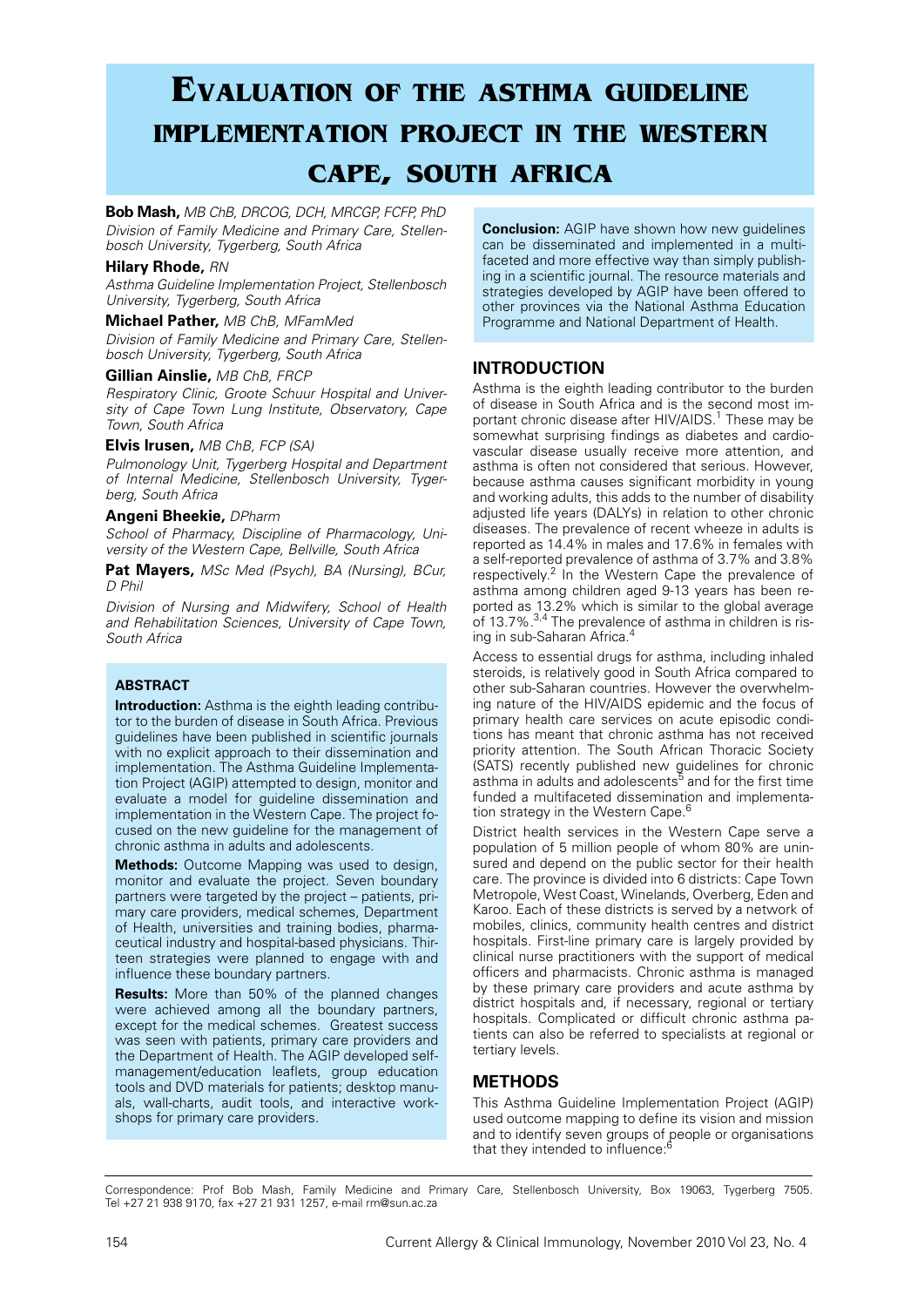# **Evaluation of the asthma guideline implementation project in the western cape, south africa**

**Bob Mash,** *MB ChB, DRCOG, DCH, MRCGP, FCFP, PhD Division of Family Medicine and Primary Care, Stellenbosch University, Tygerberg, South Africa*

### **Hilary Rhode,** *RN*

*Asthma Guideline Implementation Project, Stellenbosch University, Tygerberg, South Africa*

## **Michael Pather,** *MB ChB, MFamMed*

*Division of Family Medicine and Primary Care, Stellenbosch University, Tygerberg, South Africa*

### **Gillian Ainslie,** *MB ChB, FRCP*

*Respiratory Clinic, Groote Schuur Hospital and University of Cape Town Lung Institute, Observatory, Cape Town, South Africa*

## **Elvis Irusen,** *MB ChB, FCP (SA)*

*Pulmonology Unit, Tygerberg Hospital and Department of Internal Medicine, Stellenbosch University, Tygerberg, South Africa*

## **Angeni Bheekie,** *DPharm*

*School of Pharmacy, Discipline of Pharmacology, University of the Western Cape, Bellville, South Africa*

**Pat Mayers,** *MSc Med (Psych), BA (Nursing), BCur, D Phil*

*Division of Nursing and Midwifery, School of Health and Rehabilitation Sciences, University of Cape Town, South Africa*

## **ABSTRACT**

**Introduction:** Asthma is the eighth leading contributor to the burden of disease in South Africa. Previous guidelines have been published in scientific journals with no explicit approach to their dissemination and implementation. The Asthma Guideline Implementation Project (AGIP) attempted to design, monitor and evaluate a model for guideline dissemination and implementation in the Western Cape. The project focused on the new guideline for the management of chronic asthma in adults and adolescents.

**Methods:** Outcome Mapping was used to design, monitor and evaluate the project. Seven boundary partners were targeted by the project – patients, primary care providers, medical schemes, Department of Health, universities and training bodies, pharmaceutical industry and hospital-based physicians. Thirteen strategies were planned to engage with and influence these boundary partners.

**Results:** More than 50% of the planned changes were achieved among all the boundary partners, except for the medical schemes. Greatest success was seen with patients, primary care providers and the Department of Health. The AGIP developed selfmanagement/education leaflets, group education tools and DVD materials for patients; desktop manuals, wall-charts, audit tools, and interactive workshops for primary care providers.

**Conclusion:** AGIP have shown how new guidelines can be disseminated and implemented in a multifaceted and more effective way than simply publishing in a scientific journal. The resource materials and strategies developed by AGIP have been offered to other provinces via the National Asthma Education Programme and National Department of Health.

# **INTRODUCTION**

Asthma is the eighth leading contributor to the burden of disease in South Africa and is the second most important chronic disease after HIV/AIDS.<sup>1</sup> These may be somewhat surprising findings as diabetes and cardiovascular disease usually receive more attention, and asthma is often not considered that serious. However, because asthma causes significant morbidity in young and working adults, this adds to the number of disability adjusted life years (DALYs) in relation to other chronic diseases. The prevalence of recent wheeze in adults is reported as 14.4% in males and 17.6% in females with a self-reported prevalence of asthma of 3.7% and 3.8% respectively.<sup>2</sup> In the Western Cape the prevalence of asthma among children aged 9-13 years has been reported as 13.2% which is similar to the global average of 13.7%.<sup>3,4</sup> The prevalence of asthma in children is rising in sub-Saharan Africa.4

Access to essential drugs for asthma, including inhaled steroids, is relatively good in South Africa compared to other sub-Saharan countries. However the overwhelming nature of the HIV/AIDS epidemic and the focus of primary health care services on acute episodic conditions has meant that chronic asthma has not received priority attention. The South African Thoracic Society (SATS) recently published new guidelines for chronic asthma in adults and adolescents<sup>5</sup> and for the first time funded a multifaceted dissemination and implementation strategy in the Western Cape.<sup>6</sup>

District health services in the Western Cape serve a population of 5 million people of whom 80% are uninsured and depend on the public sector for their health care. The province is divided into 6 districts: Cape Town Metropole, West Coast, Winelands, Overberg, Eden and Karoo. Each of these districts is served by a network of mobiles, clinics, community health centres and district hospitals. First-line primary care is largely provided by clinical nurse practitioners with the support of medical officers and pharmacists. Chronic asthma is managed by these primary care providers and acute asthma by district hospitals and, if necessary, regional or tertiary hospitals. Complicated or difficult chronic asthma patients can also be referred to specialists at regional or tertiary levels.

# **METHODS**

This Asthma Guideline Implementation Project (AGIP) used outcome mapping to define its vision and mission and to identify seven groups of people or organisations that they intended to influence.<sup>6</sup>

Correspondence: Prof Bob Mash, Family Medicine and Primary Care, Stellenbosch University, Box 19063, Tygerberg 7505. Tel +27 21 938 9170, fax +27 21 931 1257, e-mail rm@sun.ac.za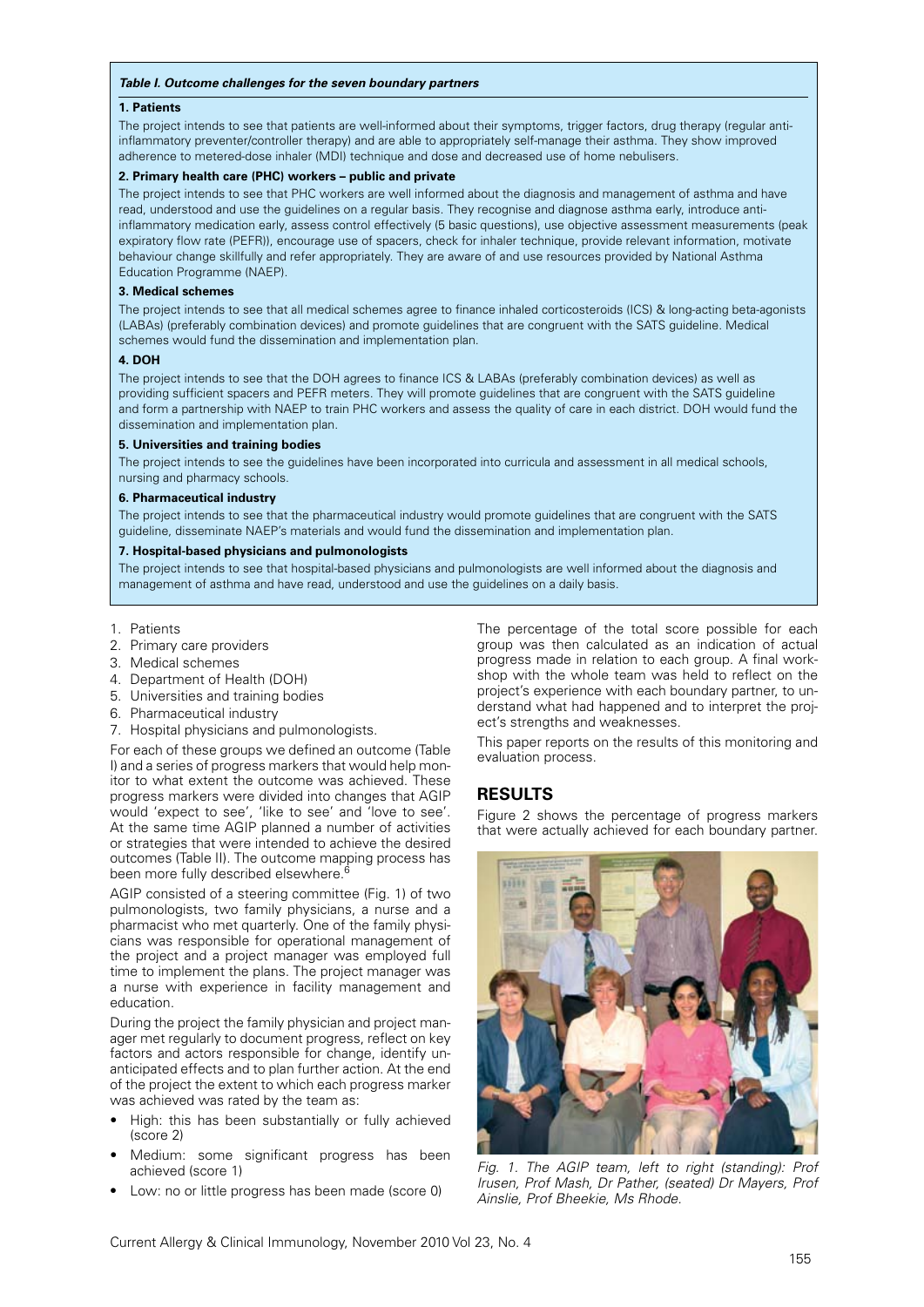#### *Table I. Outcome challenges for the seven boundary partners*

#### **1. Patients**

The project intends to see that patients are well-informed about their symptoms, trigger factors, drug therapy (regular antiinflammatory preventer/controller therapy) and are able to appropriately self-manage their asthma. They show improved adherence to metered-dose inhaler (MDI) technique and dose and decreased use of home nebulisers.

#### **2. Primary health care (PHC) workers – public and private**

The project intends to see that PHC workers are well informed about the diagnosis and management of asthma and have read, understood and use the guidelines on a regular basis. They recognise and diagnose asthma early, introduce antiinflammatory medication early, assess control effectively (5 basic questions), use objective assessment measurements (peak expiratory flow rate (PEFR)), encourage use of spacers, check for inhaler technique, provide relevant information, motivate behaviour change skillfully and refer appropriately. They are aware of and use resources provided by National Asthma Education Programme (NAEP).

#### **3. Medical schemes**

The project intends to see that all medical schemes agree to finance inhaled corticosteroids (ICS) & long-acting beta-agonists (LABAs) (preferably combination devices) and promote guidelines that are congruent with the SATS guideline. Medical schemes would fund the dissemination and implementation plan.

### **4. DOH**

The project intends to see that the DOH agrees to finance ICS & LABAs (preferably combination devices) as well as providing sufficient spacers and PEFR meters. They will promote guidelines that are congruent with the SATS guideline and form a partnership with NAEP to train PHC workers and assess the quality of care in each district. DOH would fund the dissemination and implementation plan.

#### **5. Universities and training bodies**

The project intends to see the guidelines have been incorporated into curricula and assessment in all medical schools, nursing and pharmacy schools.

#### **6. Pharmaceutical industry**

The project intends to see that the pharmaceutical industry would promote guidelines that are congruent with the SATS guideline, disseminate NAEP's materials and would fund the dissemination and implementation plan.

#### **7. Hospital-based physicians and pulmonologists**

The project intends to see that hospital-based physicians and pulmonologists are well informed about the diagnosis and management of asthma and have read, understood and use the guidelines on a daily basis.

1. Patients

- 2. Primary care providers
- 3. Medical schemes
- 4. Department of Health (DOH)
- 5. Universities and training bodies
- 6. Pharmaceutical industry
- 7. Hospital physicians and pulmonologists.

For each of these groups we defined an outcome (Table I) and a series of progress markers that would help monitor to what extent the outcome was achieved. These progress markers were divided into changes that AGIP would 'expect to see', 'like to see' and 'love to see'. At the same time AGIP planned a number of activities or strategies that were intended to achieve the desired outcomes (Table II). The outcome mapping process has been more fully described elsewhere.

AGIP consisted of a steering committee (Fig. 1) of two pulmonologists, two family physicians, a nurse and a pharmacist who met quarterly. One of the family physicians was responsible for operational management of the project and a project manager was employed full time to implement the plans. The project manager was a nurse with experience in facility management and education.

During the project the family physician and project manager met regularly to document progress, reflect on key factors and actors responsible for change, identify unanticipated effects and to plan further action. At the end of the project the extent to which each progress marker was achieved was rated by the team as:

- High: this has been substantially or fully achieved (score 2)
- Medium: some significant progress has been achieved (score 1)
- Low: no or little progress has been made (score 0)

The percentage of the total score possible for each group was then calculated as an indication of actual progress made in relation to each group. A final workshop with the whole team was held to reflect on the project's experience with each boundary partner, to understand what had happened and to interpret the project's strengths and weaknesses.

This paper reports on the results of this monitoring and evaluation process.

## **RESULTS**

Figure 2 shows the percentage of progress markers that were actually achieved for each boundary partner.



*Fig. 1. The AGIP team, left to right (standing): Prof Irusen, Prof Mash, Dr Pather, (seated) Dr Mayers, Prof Ainslie, Prof Bheekie, Ms Rhode.*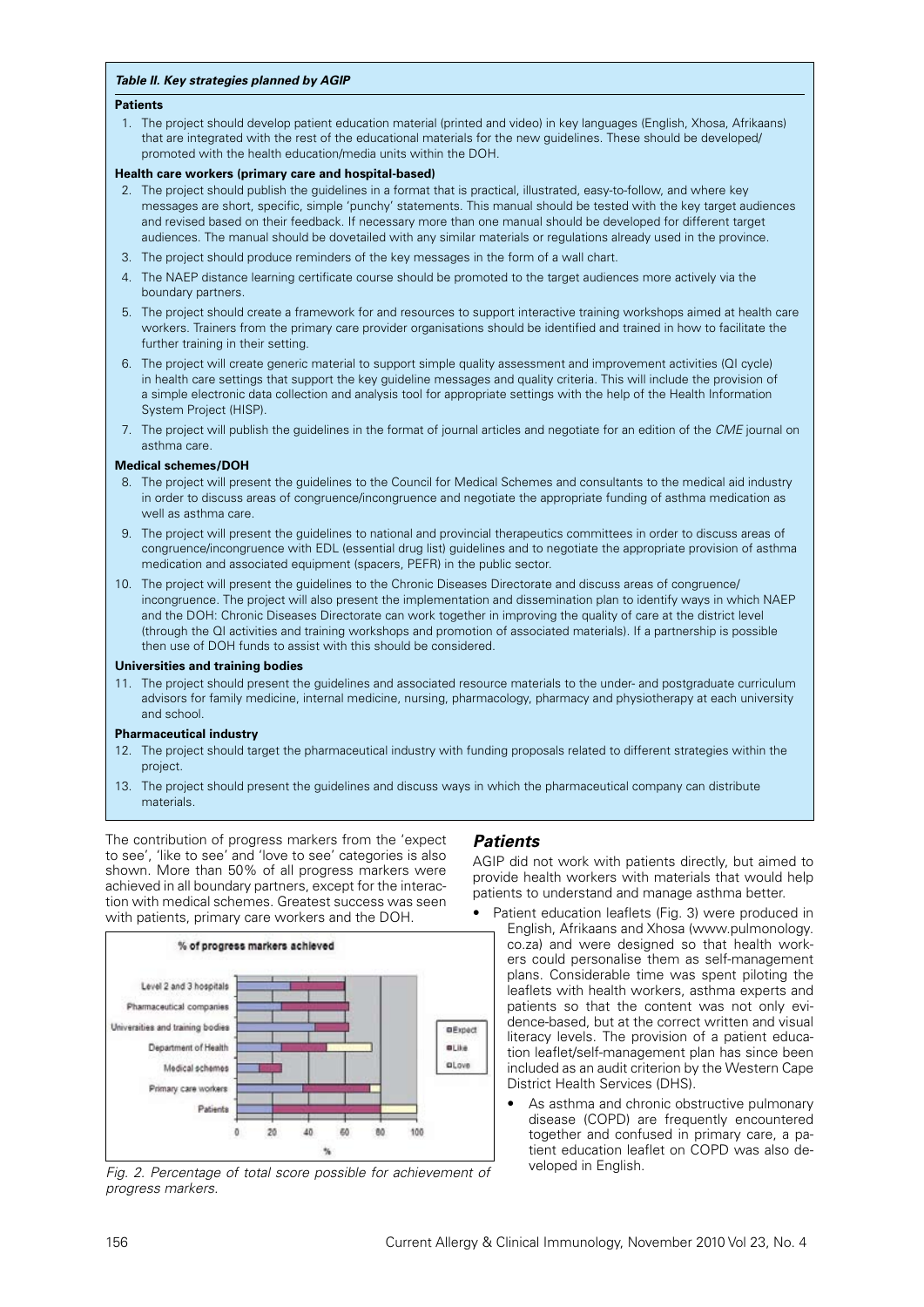#### *Table II. Key strategies planned by AGIP*

#### **Patients**

 1. The project should develop patient education material (printed and video) in key languages (English, Xhosa, Afrikaans) that are integrated with the rest of the educational materials for the new guidelines. These should be developed/ promoted with the health education/media units within the DOH.

#### **Health care workers (primary care and hospital-based)**

- 2. The project should publish the guidelines in a format that is practical, illustrated, easy-to-follow, and where key messages are short, specific, simple 'punchy' statements. This manual should be tested with the key target audiences and revised based on their feedback. If necessary more than one manual should be developed for different target audiences. The manual should be dovetailed with any similar materials or regulations already used in the province.
- 3. The project should produce reminders of the key messages in the form of a wall chart.
- 4. The NAEP distance learning certificate course should be promoted to the target audiences more actively via the boundary partners.
- 5. The project should create a framework for and resources to support interactive training workshops aimed at health care workers. Trainers from the primary care provider organisations should be identified and trained in how to facilitate the further training in their setting.
- 6. The project will create generic material to support simple quality assessment and improvement activities (QI cycle) in health care settings that support the key guideline messages and quality criteria. This will include the provision of a simple electronic data collection and analysis tool for appropriate settings with the help of the Health Information System Project (HISP).
- 7. The project will publish the guidelines in the format of journal articles and negotiate for an edition of the *CME* journal on asthma care.

### **Medical schemes/DOH**

- 8. The project will present the guidelines to the Council for Medical Schemes and consultants to the medical aid industry in order to discuss areas of congruence/incongruence and negotiate the appropriate funding of asthma medication as well as asthma care.
- 9. The project will present the guidelines to national and provincial therapeutics committees in order to discuss areas of congruence/incongruence with EDL (essential drug list) guidelines and to negotiate the appropriate provision of asthma medication and associated equipment (spacers, PEFR) in the public sector.
- 10. The project will present the guidelines to the Chronic Diseases Directorate and discuss areas of congruence/ incongruence. The project will also present the implementation and dissemination plan to identify ways in which NAEP and the DOH: Chronic Diseases Directorate can work together in improving the quality of care at the district level (through the QI activities and training workshops and promotion of associated materials). If a partnership is possible then use of DOH funds to assist with this should be considered.

#### **Universities and training bodies**

11. The project should present the guidelines and associated resource materials to the under- and postgraduate curriculum advisors for family medicine, internal medicine, nursing, pharmacology, pharmacy and physiotherapy at each university and school.

#### **Pharmaceutical industry**

- 12. The project should target the pharmaceutical industry with funding proposals related to different strategies within the project.
- 13. The project should present the guidelines and discuss ways in which the pharmaceutical company can distribute materials.

The contribution of progress markers from the 'expect to see', 'like to see' and 'love to see' categories is also shown. More than 50% of all progress markers were achieved in all boundary partners, except for the interaction with medical schemes. Greatest success was seen with patients, primary care workers and the DOH.



*Fig. 2. Percentage of total score possible for achievement of progress markers.*

## *Patients*

AGIP did not work with patients directly, but aimed to provide health workers with materials that would help patients to understand and manage asthma better.

- Patient education leaflets (Fig. 3) were produced in English, Afrikaans and Xhosa (www.pulmonology. co.za) and were designed so that health workers could personalise them as self-management plans. Considerable time was spent piloting the leaflets with health workers, asthma experts and patients so that the content was not only evidence-based, but at the correct written and visual literacy levels. The provision of a patient education leaflet/self-management plan has since been included as an audit criterion by the Western Cape District Health Services (DHS).
	- As asthma and chronic obstructive pulmonary disease (COPD) are frequently encountered together and confused in primary care, a patient education leaflet on COPD was also developed in English.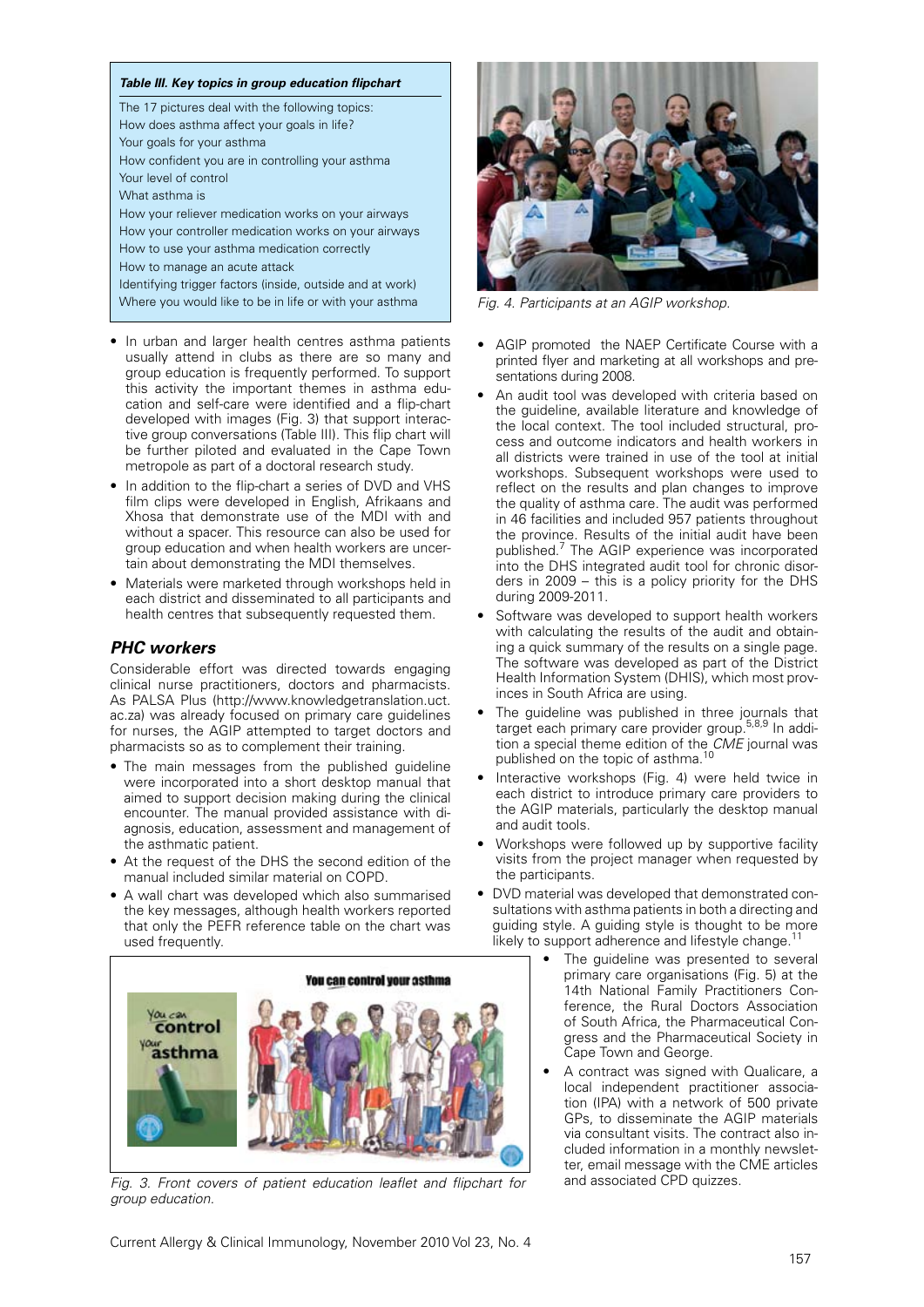#### *Table III. Key topics in group education flipchart*

The 17 pictures deal with the following topics: How does asthma affect your goals in life? Your goals for your asthma How confident you are in controlling your asthma Your level of control What asthma is How your reliever medication works on your airways How your controller medication works on your airways How to use your asthma medication correctly How to manage an acute attack Identifying trigger factors (inside, outside and at work) Where you would like to be in life or with your asthma **Fig. 4. Participants at an AGIP workshop.** 

- In urban and larger health centres asthma patients usually attend in clubs as there are so many and group education is frequently performed. To support this activity the important themes in asthma education and self-care were identified and a flip-chart developed with images (Fig. 3) that support interactive group conversations (Table III). This flip chart will be further piloted and evaluated in the Cape Town metropole as part of a doctoral research study.
- In addition to the flip-chart a series of DVD and VHS film clips were developed in English, Afrikaans and Xhosa that demonstrate use of the MDI with and without a spacer. This resource can also be used for group education and when health workers are uncertain about demonstrating the MDI themselves.
- Materials were marketed through workshops held in each district and disseminated to all participants and health centres that subsequently requested them.

# *PHC workers*

Considerable effort was directed towards engaging clinical nurse practitioners, doctors and pharmacists. As PALSA Plus (http://www.knowledgetranslation.uct. ac.za) was already focused on primary care guidelines for nurses, the AGIP attempted to target doctors and pharmacists so as to complement their training.

- The main messages from the published quideline were incorporated into a short desktop manual that aimed to support decision making during the clinical encounter. The manual provided assistance with diagnosis, education, assessment and management of the asthmatic patient.
- At the request of the DHS the second edition of the manual included similar material on COPD.
- A wall chart was developed which also summarised the key messages, although health workers reported that only the PEFR reference table on the chart was used frequently.



Fig. 3. Front covers of patient education leaflet and flipchart for *group education.*



- • AGIP promoted the NAEP Certificate Course with a printed flyer and marketing at all workshops and presentations during 2008.
- An audit tool was developed with criteria based on the guideline, available literature and knowledge of the local context. The tool included structural, process and outcome indicators and health workers in all districts were trained in use of the tool at initial workshops. Subsequent workshops were used to reflect on the results and plan changes to improve the quality of asthma care. The audit was performed in 46 facilities and included 957 patients throughout the province. Results of the initial audit have been published.<sup>7</sup> The AGIP experience was incorporated into the DHS integrated audit tool for chronic disorders in 2009 – this is a policy priority for the DHS during 2009-2011.
- Software was developed to support health workers with calculating the results of the audit and obtaining a quick summary of the results on a single page. The software was developed as part of the District Health Information System (DHIS), which most provinces in South Africa are using.
- The guideline was published in three journals that target each primary care provider group.<sup>5,8,9</sup> In addition a special theme edition of the *CME* journal was published on the topic of asthma.<sup>10</sup>
- Interactive workshops (Fig. 4) were held twice in each district to introduce primary care providers to the AGIP materials, particularly the desktop manual and audit tools.
- Workshops were followed up by supportive facility visits from the project manager when requested by the participants.
- DVD material was developed that demonstrated consultations with asthma patients in both a directing and guiding style. A guiding style is thought to be more likely to support adherence and lifestyle change.
	- The guideline was presented to several primary care organisations (Fig. 5) at the 14th National Family Practitioners Conference, the Rural Doctors Association of South Africa, the Pharmaceutical Congress and the Pharmaceutical Society in Cape Town and George.
	- A contract was signed with Qualicare, a local independent practitioner association (IPA) with a network of 500 private GPs, to disseminate the AGIP materials via consultant visits. The contract also included information in a monthly newsletter, email message with the CME articles<br>and associated CPD quizzes.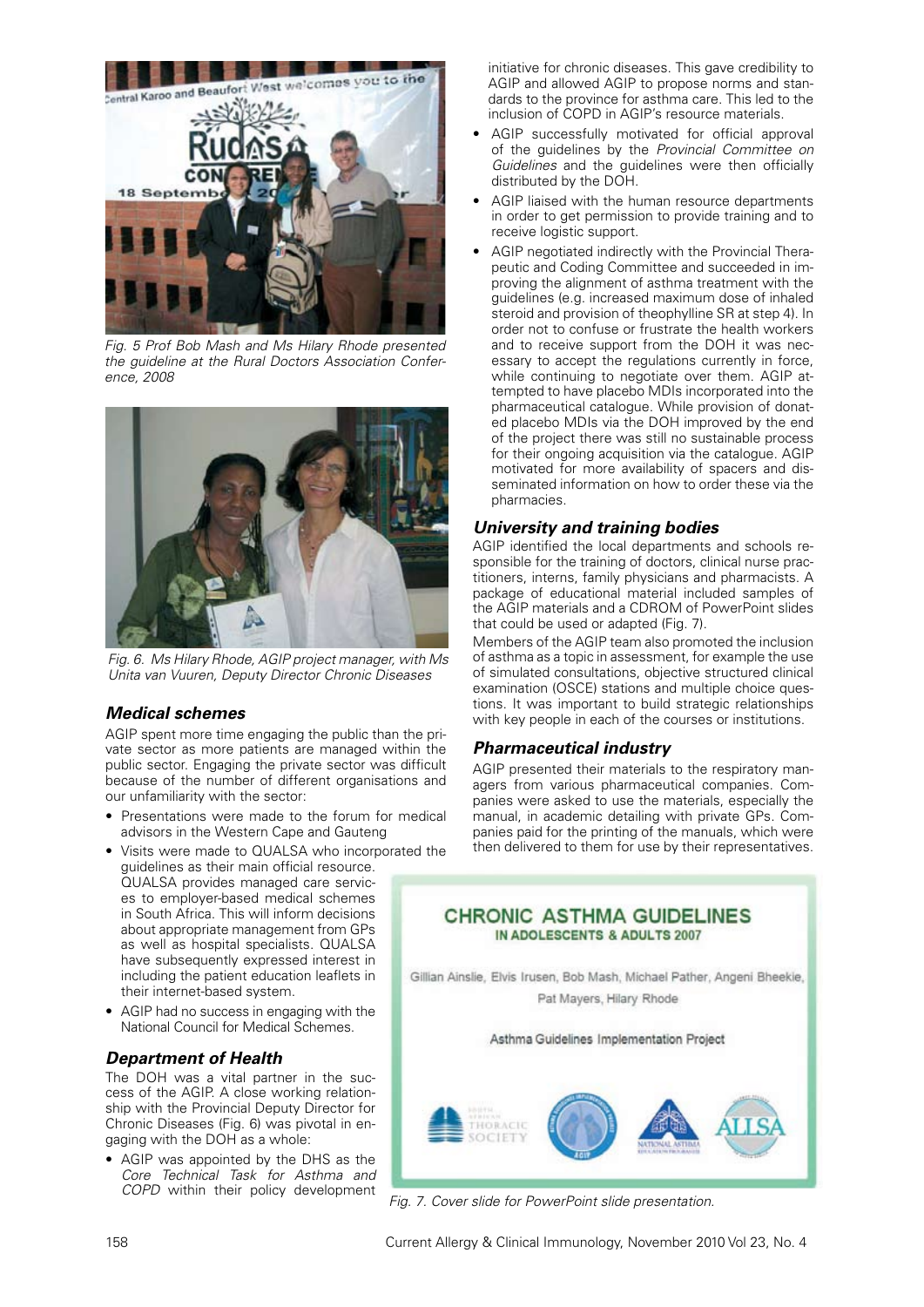

*Fig. 5 Prof Bob Mash and Ms Hilary Rhode presented the guideline at the Rural Doctors Association Conference, 2008*



*Fig. 6. Ms Hilary Rhode, AGIP project manager, with Ms Unita van Vuuren, Deputy Director Chronic Diseases*

## *Medical schemes*

AGIP spent more time engaging the public than the private sector as more patients are managed within the public sector. Engaging the private sector was difficult because of the number of different organisations and our unfamiliarity with the sector:

- Presentations were made to the forum for medical advisors in the Western Cape and Gauteng
- • Visits were made to QUALSA who incorporated the guidelines as their main official resource. QUALSA provides managed care services to employer-based medical schemes in South Africa. This will inform decisions about appropriate management from GPs as well as hospital specialists. QUALSA have subsequently expressed interest in including the patient education leaflets in their internet-based system.
- AGIP had no success in engaging with the National Council for Medical Schemes.

# *Department of Health*

The DOH was a vital partner in the success of the AGIP. A close working relationship with the Provincial Deputy Director for Chronic Diseases (Fig. 6) was pivotal in engaging with the DOH as a whole:

• AGIP was appointed by the DHS as the *Core Technical Task for Asthma and COPD* within their policy development

initiative for chronic diseases. This gave credibility to AGIP and allowed AGIP to propose norms and standards to the province for asthma care. This led to the inclusion of COPD in AGIP's resource materials.

- AGIP successfully motivated for official approval of the guidelines by the *Provincial Committee on Guidelines* and the quidelines were then officially distributed by the DOH.
- AGIP liaised with the human resource departments in order to get permission to provide training and to receive logistic support.
- AGIP negotiated indirectly with the Provincial Therapeutic and Coding Committee and succeeded in improving the alignment of asthma treatment with the guidelines (e.g. increased maximum dose of inhaled steroid and provision of theophylline SR at step 4). In order not to confuse or frustrate the health workers and to receive support from the DOH it was necessary to accept the regulations currently in force, while continuing to negotiate over them. AGIP attempted to have placebo MDIs incorporated into the pharmaceutical catalogue. While provision of donated placebo MDIs via the DOH improved by the end of the project there was still no sustainable process for their ongoing acquisition via the catalogue. AGIP motivated for more availability of spacers and disseminated information on how to order these via the pharmacies.

# *University and training bodies*

AGIP identified the local departments and schools responsible for the training of doctors, clinical nurse practitioners, interns, family physicians and pharmacists. A package of educational material included samples of the AGIP materials and a CDROM of PowerPoint slides that could be used or adapted (Fig. 7).

Members of the AGIP team also promoted the inclusion of asthma as a topic in assessment, for example the use of simulated consultations, objective structured clinical examination (OSCE) stations and multiple choice questions. It was important to build strategic relationships with key people in each of the courses or institutions.

# *Pharmaceutical industry*

AGIP presented their materials to the respiratory managers from various pharmaceutical companies. Companies were asked to use the materials, especially the manual, in academic detailing with private GPs. Companies paid for the printing of the manuals, which were then delivered to them for use by their representatives.



*Fig. 7. Cover slide for PowerPoint slide presentation.*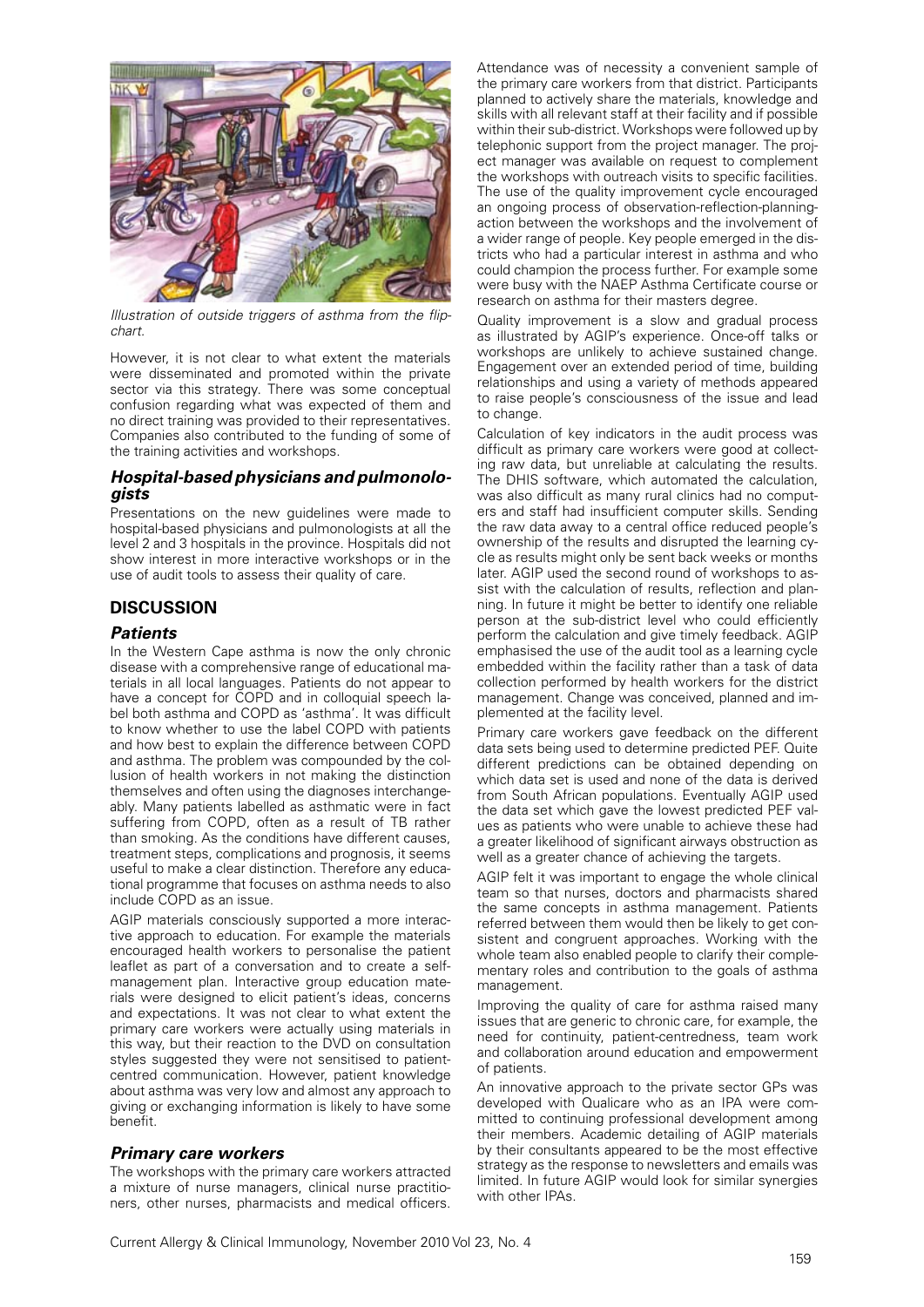

*Illustration of outside triggers of asthma from the flipchart.*

However, it is not clear to what extent the materials were disseminated and promoted within the private sector via this strategy. There was some conceptual confusion regarding what was expected of them and no direct training was provided to their representatives. Companies also contributed to the funding of some of the training activities and workshops.

# *Hospital-based physicians and pulmonolo- gists*

Presentations on the new guidelines were made to hospital-based physicians and pulmonologists at all the level 2 and 3 hospitals in the province. Hospitals did not show interest in more interactive workshops or in the use of audit tools to assess their quality of care.

# **DISCUSSION**

## *Patients*

In the Western Cape asthma is now the only chronic disease with a comprehensive range of educational materials in all local languages. Patients do not appear to have a concept for COPD and in colloquial speech label both asthma and COPD as 'asthma'. It was difficult to know whether to use the label COPD with patients and how best to explain the difference between COPD and asthma. The problem was compounded by the collusion of health workers in not making the distinction themselves and often using the diagnoses interchangeably. Many patients labelled as asthmatic were in fact suffering from COPD, often as a result of TB rather than smoking. As the conditions have different causes, treatment steps, complications and prognosis, it seems useful to make a clear distinction. Therefore any educational programme that focuses on asthma needs to also include COPD as an issue.

AGIP materials consciously supported a more interactive approach to education. For example the materials encouraged health workers to personalise the patient leaflet as part of a conversation and to create a selfmanagement plan. Interactive group education materials were designed to elicit patient's ideas, concerns and expectations. It was not clear to what extent the primary care workers were actually using materials in this way, but their reaction to the DVD on consultation styles suggested they were not sensitised to patientcentred communication. However, patient knowledge about asthma was very low and almost any approach to giving or exchanging information is likely to have some benefit.

## *Primary care workers*

The workshops with the primary care workers attracted a mixture of nurse managers, clinical nurse practitioners, other nurses, pharmacists and medical officers.

Attendance was of necessity a convenient sample of the primary care workers from that district. Participants planned to actively share the materials, knowledge and skills with all relevant staff at their facility and if possible within their sub-district. Workshops were followed up by telephonic support from the project manager. The project manager was available on request to complement the workshops with outreach visits to specific facilities. The use of the quality improvement cycle encouraged an ongoing process of observation-reflection-planningaction between the workshops and the involvement of a wider range of people. Key people emerged in the districts who had a particular interest in asthma and who could champion the process further. For example some were busy with the NAEP Asthma Certificate course or research on asthma for their masters degree.

Quality improvement is a slow and gradual process as illustrated by AGIP's experience. Once-off talks or workshops are unlikely to achieve sustained change. Engagement over an extended period of time, building relationships and using a variety of methods appeared to raise people's consciousness of the issue and lead to change.

Calculation of key indicators in the audit process was difficult as primary care workers were good at collecting raw data, but unreliable at calculating the results. The DHIS software, which automated the calculation, was also difficult as many rural clinics had no computers and staff had insufficient computer skills. Sending the raw data away to a central office reduced people's ownership of the results and disrupted the learning cycle as results might only be sent back weeks or months later. AGIP used the second round of workshops to assist with the calculation of results, reflection and planning. In future it might be better to identify one reliable person at the sub-district level who could efficiently perform the calculation and give timely feedback. AGIP emphasised the use of the audit tool as a learning cycle embedded within the facility rather than a task of data collection performed by health workers for the district management. Change was conceived, planned and implemented at the facility level.

Primary care workers gave feedback on the different data sets being used to determine predicted PEF. Quite different predictions can be obtained depending on which data set is used and none of the data is derived from South African populations. Eventually AGIP used the data set which gave the lowest predicted PEF values as patients who were unable to achieve these had a greater likelihood of significant airways obstruction as well as a greater chance of achieving the targets.

AGIP felt it was important to engage the whole clinical team so that nurses, doctors and pharmacists shared the same concepts in asthma management. Patients referred between them would then be likely to get consistent and congruent approaches. Working with the whole team also enabled people to clarify their complementary roles and contribution to the goals of asthma management.

Improving the quality of care for asthma raised many issues that are generic to chronic care, for example, the need for continuity, patient-centredness, team work and collaboration around education and empowerment of patients.

An innovative approach to the private sector GPs was developed with Qualicare who as an IPA were committed to continuing professional development among their members. Academic detailing of AGIP materials by their consultants appeared to be the most effective strategy as the response to newsletters and emails was limited. In future AGIP would look for similar synergies with other IPAs.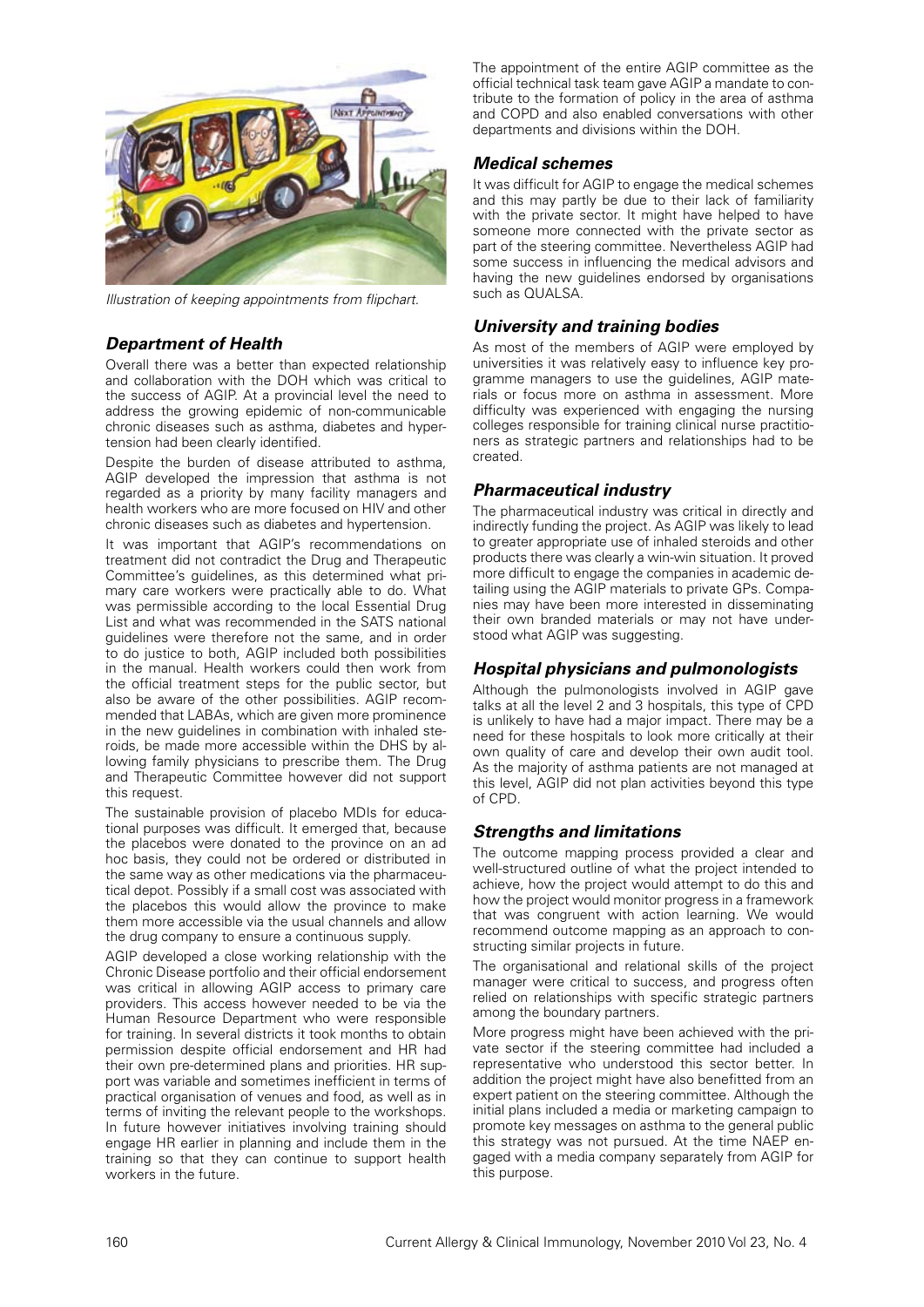

*Illustration of keeping appointments from flipchart.*

# *Department of Health*

Overall there was a better than expected relationship and collaboration with the DOH which was critical to the success of AGIP. At a provincial level the need to address the growing epidemic of non-communicable chronic diseases such as asthma, diabetes and hypertension had been clearly identified.

Despite the burden of disease attributed to asthma, AGIP developed the impression that asthma is not regarded as a priority by many facility managers and health workers who are more focused on HIV and other chronic diseases such as diabetes and hypertension.

It was important that AGIP's recommendations on treatment did not contradict the Drug and Therapeutic Committee's guidelines, as this determined what primary care workers were practically able to do. What was permissible according to the local Essential Drug List and what was recommended in the SATS national guidelines were therefore not the same, and in order to do justice to both, AGIP included both possibilities in the manual. Health workers could then work from the official treatment steps for the public sector, but also be aware of the other possibilities. AGIP recommended that LABAs, which are given more prominence in the new guidelines in combination with inhaled steroids, be made more accessible within the DHS by allowing family physicians to prescribe them. The Drug and Therapeutic Committee however did not support this request.

The sustainable provision of placebo MDIs for educational purposes was difficult. It emerged that, because the placebos were donated to the province on an ad hoc basis, they could not be ordered or distributed in the same way as other medications via the pharmaceutical depot. Possibly if a small cost was associated with the placebos this would allow the province to make them more accessible via the usual channels and allow the drug company to ensure a continuous supply.

AGIP developed a close working relationship with the Chronic Disease portfolio and their official endorsement was critical in allowing AGIP access to primary care providers. This access however needed to be via the Human Resource Department who were responsible for training. In several districts it took months to obtain permission despite official endorsement and HR had their own pre-determined plans and priorities. HR support was variable and sometimes inefficient in terms of practical organisation of venues and food, as well as in terms of inviting the relevant people to the workshops. In future however initiatives involving training should engage HR earlier in planning and include them in the training so that they can continue to support health workers in the future.

The appointment of the entire AGIP committee as the official technical task team gave AGIP a mandate to contribute to the formation of policy in the area of asthma and COPD and also enabled conversations with other departments and divisions within the DOH.

# *Medical schemes*

It was difficult for AGIP to engage the medical schemes and this may partly be due to their lack of familiarity with the private sector. It might have helped to have someone more connected with the private sector as part of the steering committee. Nevertheless AGIP had some success in influencing the medical advisors and having the new guidelines endorsed by organisations such as QUALSA.

# *University and training bodies*

As most of the members of AGIP were employed by universities it was relatively easy to influence key programme managers to use the guidelines, AGIP materials or focus more on asthma in assessment. More difficulty was experienced with engaging the nursing colleges responsible for training clinical nurse practitioners as strategic partners and relationships had to be created.

## *Pharmaceutical industry*

The pharmaceutical industry was critical in directly and indirectly funding the project. As AGIP was likely to lead to greater appropriate use of inhaled steroids and other products there was clearly a win-win situation. It proved more difficult to engage the companies in academic detailing using the AGIP materials to private GPs. Companies may have been more interested in disseminating their own branded materials or may not have understood what AGIP was suggesting.

# *Hospital physicians and pulmonologists*

Although the pulmonologists involved in AGIP gave talks at all the level 2 and 3 hospitals, this type of CPD is unlikely to have had a major impact. There may be a need for these hospitals to look more critically at their own quality of care and develop their own audit tool. As the majority of asthma patients are not managed at this level, AGIP did not plan activities beyond this type of CPD.

## *Strengths and limitations*

The outcome mapping process provided a clear and well-structured outline of what the project intended to achieve, how the project would attempt to do this and how the project would monitor progress in a framework that was congruent with action learning. We would recommend outcome mapping as an approach to constructing similar projects in future.

The organisational and relational skills of the project manager were critical to success, and progress often relied on relationships with specific strategic partners among the boundary partners.

More progress might have been achieved with the private sector if the steering committee had included a representative who understood this sector better. In addition the project might have also benefitted from an expert patient on the steering committee. Although the initial plans included a media or marketing campaign to promote key messages on asthma to the general public this strategy was not pursued. At the time NAEP engaged with a media company separately from AGIP for this purpose.